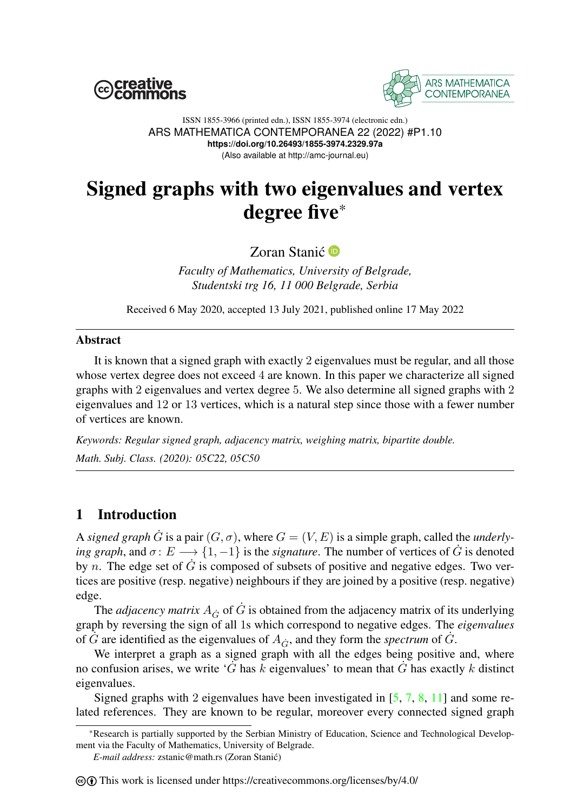



ISSN 1855-3966 (printed edn.), ISSN 1855-3974 (electronic edn.) ARS MATHEMATICA CONTEMPORANEA 22 (2022) #P1.10 **https://doi.org/10.26493/1855-3974.2329.97a** (Also available at http://amc-journal.eu)

# Signed graphs with two eigenvalues and vertex degree five\*

Zoran Stanić<sup>®</sup>

*Faculty of Mathematics, University of Belgrade, Studentski trg 16, 11 000 Belgrade, Serbia*

Received 6 May 2020, accepted 13 July 2021, published online 17 May 2022

#### Abstract

It is known that a signed graph with exactly 2 eigenvalues must be regular, and all those whose vertex degree does not exceed 4 are known. In this paper we characterize all signed graphs with 2 eigenvalues and vertex degree 5. We also determine all signed graphs with 2 eigenvalues and 12 or 13 vertices, which is a natural step since those with a fewer number of vertices are known.

*Keywords: Regular signed graph, adjacency matrix, weighing matrix, bipartite double. Math. Subj. Class. (2020): 05C22, 05C50*

# <span id="page-0-0"></span>1 Introduction

A *signed graph*  $\dot{G}$  is a pair  $(G, \sigma)$ , where  $G = (V, E)$  is a simple graph, called the *underlying graph*, and  $\sigma: E \longrightarrow \{1, -1\}$  is the *signature*. The number of vertices of G is denoted by *n*. The edge set of  $\dot{G}$  is composed of subsets of positive and negative edges. Two vertices are positive (resp. negative) neighbours if they are joined by a positive (resp. negative) edge.

The *adjacency matrix*  $A_{\dot{G}}$  of  $\dot{G}$  is obtained from the adjacency matrix of its underlying graph by reversing the sign of all 1s which correspond to negative edges. The *eigenvalues* of  $\hat{G}$  are identified as the eigenvalues of  $A_{\hat{G}}$ , and they form the *spectrum* of  $\hat{G}$ .

We interpret a graph as a signed graph with all the edges being positive and, where no confusion arises, we write 'G has k eigenvalues' to mean that G has exactly k distinct eigenvalues.

Signed graphs with 2 eigenvalues have been investigated in  $[5, 7, 8, 11]$  $[5, 7, 8, 11]$  $[5, 7, 8, 11]$  $[5, 7, 8, 11]$  $[5, 7, 8, 11]$  $[5, 7, 8, 11]$  $[5, 7, 8, 11]$  and some related references. They are known to be regular, moreover every connected signed graph

*E-mail address:* zstanic@math.rs (Zoran Stanic)´

#### $\Theta$  This work is licensed under https://creativecommons.org/licenses/by/4.0/

<sup>\*</sup>Research is partially supported by the Serbian Ministry of Education, Science and Technological Development via the Faculty of Mathematics, University of Belgrade.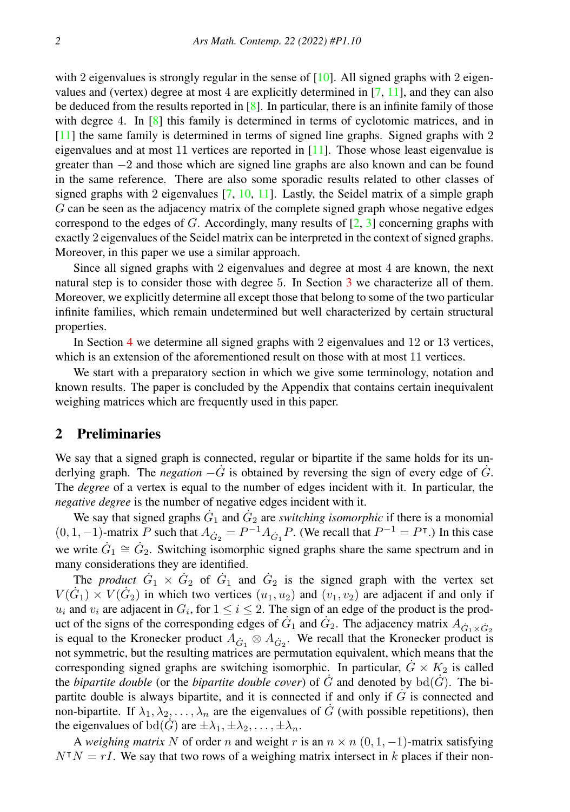with 2 eigenvalues is strongly regular in the sense of  $[10]$ . All signed graphs with 2 eigenvalues and (vertex) degree at most 4 are explicitly determined in [\[7,](#page-11-1) [11\]](#page-11-3), and they can also be deduced from the results reported in  $[8]$ . In particular, there is an infinite family of those with degree 4. In [\[8\]](#page-11-2) this family is determined in terms of cyclotomic matrices, and in [\[11\]](#page-11-3) the same family is determined in terms of signed line graphs. Signed graphs with 2 eigenvalues and at most 11 vertices are reported in [\[11\]](#page-11-3). Those whose least eigenvalue is greater than −2 and those which are signed line graphs are also known and can be found in the same reference. There are also some sporadic results related to other classes of signed graphs with 2 eigenvalues  $[7, 10, 11]$  $[7, 10, 11]$  $[7, 10, 11]$  $[7, 10, 11]$  $[7, 10, 11]$ . Lastly, the Seidel matrix of a simple graph G can be seen as the adjacency matrix of the complete signed graph whose negative edges correspond to the edges of G. Accordingly, many results of  $[2, 3]$  $[2, 3]$  $[2, 3]$  concerning graphs with exactly 2 eigenvalues of the Seidel matrix can be interpreted in the context of signed graphs. Moreover, in this paper we use a similar approach.

Since all signed graphs with 2 eigenvalues and degree at most 4 are known, the next natural step is to consider those with degree 5. In Section [3](#page-2-0) we characterize all of them. Moreover, we explicitly determine all except those that belong to some of the two particular infinite families, which remain undetermined but well characterized by certain structural properties.

In Section [4](#page-8-0) we determine all signed graphs with 2 eigenvalues and 12 or 13 vertices, which is an extension of the aforementioned result on those with at most 11 vertices.

We start with a preparatory section in which we give some terminology, notation and known results. The paper is concluded by the Appendix that contains certain inequivalent weighing matrices which are frequently used in this paper.

#### 2 Preliminaries

We say that a signed graph is connected, regular or bipartite if the same holds for its underlying graph. The *negation*  $-\dot{G}$  is obtained by reversing the sign of every edge of  $\dot{G}$ . The *degree* of a vertex is equal to the number of edges incident with it. In particular, the *negative degree* is the number of negative edges incident with it.

We say that signed graphs  $\dot{G}_1$  and  $\dot{G}_2$  are *switching isomorphic* if there is a monomial  $(0, 1, -1)$ -matrix P such that  $A_{\dot{G}_2} = P^{-1} A_{\dot{G}_1} P$ . (We recall that  $P^{-1} = P$ <sup>T</sup>.) In this case we write  $\dot{G}_1 \cong \dot{G}_2$ . Switching isomorphic signed graphs share the same spectrum and in many considerations they are identified.

The *product*  $G_1 \times G_2$  of  $G_1$  and  $G_2$  is the signed graph with the vertex set  $V(\dot{G}_1) \times V(\dot{G}_2)$  in which two vertices  $(u_1, u_2)$  and  $(v_1, v_2)$  are adjacent if and only if  $u_i$  and  $v_i$  are adjacent in  $G_i$ , for  $1 \le i \le 2$ . The sign of an edge of the product is the product of the signs of the corresponding edges of  $\ddot{G}_1$  and  $\ddot{G}_2$ . The adjacency matrix  $A_{\dot{G}_1 \times \dot{G}_2}$  is equal to the Kronecker product  $A_{\dot{G}_1} \otimes A_{\dot{G}_2}$ . We recall that the Kronecker product is not symmetric, but the resulting matrices are permutation equivalent, which means that the corresponding signed graphs are switching isomorphic. In particular,  $G \times K_2$  is called the *bipartite double* (or the *bipartite double cover*) of  $\ddot{G}$  and denoted by  $\text{bd}(\dot{G})$ . The bipartite double is always bipartite, and it is connected if and only if  $\dot{G}$  is connected and non-bipartite. If  $\lambda_1, \lambda_2, \ldots, \lambda_n$  are the eigenvalues of  $\dot{G}$  (with possible repetitions), then the eigenvalues of  $\text{bd}(G)$  are  $\pm \lambda_1, \pm \lambda_2, \ldots, \pm \lambda_n$ .

A *weighing matrix* N of order n and weight r is an  $n \times n$  (0, 1, -1)-matrix satisfying  $N<sup>T</sup>N = rI$ . We say that two rows of a weighing matrix intersect in k places if their non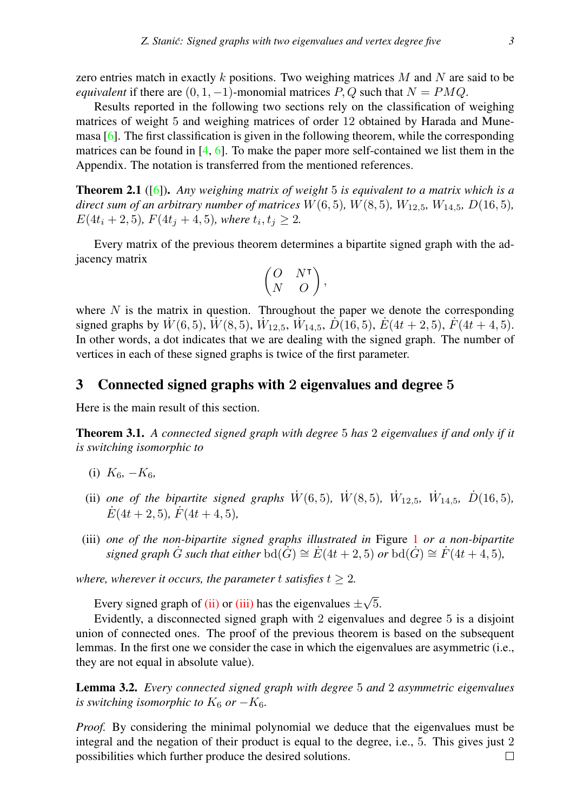zero entries match in exactly k positions. Two weighing matrices  $M$  and  $N$  are said to be *equivalent* if there are  $(0, 1, -1)$ -monomial matrices P, Q such that  $N = PMQ$ .

Results reported in the following two sections rely on the classification of weighing matrices of weight 5 and weighing matrices of order 12 obtained by Harada and Munemasa [\[6\]](#page-11-7). The first classification is given in the following theorem, while the corresponding matrices can be found in  $[4, 6]$  $[4, 6]$  $[4, 6]$ . To make the paper more self-contained we list them in the Appendix. The notation is transferred from the mentioned references.

<span id="page-2-6"></span>Theorem 2.1 ([\[6\]](#page-11-7)). *Any weighing matrix of weight* 5 *is equivalent to a matrix which is a direct sum of an arbitrary number of matrices*  $W(6, 5)$ *,*  $W(8, 5)$ *,*  $W_{12.5}$ *,*  $W_{14.5}$ *,*  $D(16, 5)$ *,*  $E(4t_i + 2, 5)$ *,*  $F(4t_j + 4, 5)$ *, where*  $t_i, t_j \geq 2$ *.* 

Every matrix of the previous theorem determines a bipartite signed graph with the adjacency matrix

$$
\begin{pmatrix} O & N^\intercal \\ N & O \end{pmatrix},
$$

where  $N$  is the matrix in question. Throughout the paper we denote the corresponding signed graphs by  $\dot{W}(6,5)$ ,  $\dot{W}(8,5)$ ,  $\dot{W}_{12,5}$ ,  $\dot{W}_{14,5}$ ,  $\dot{D}(16,5)$ ,  $\dot{E}(4t+2,5)$ ,  $\dot{F}(4t+4,5)$ . In other words, a dot indicates that we are dealing with the signed graph. The number of vertices in each of these signed graphs is twice of the first parameter.

#### <span id="page-2-0"></span>3 Connected signed graphs with 2 eigenvalues and degree 5

Here is the main result of this section.

<span id="page-2-3"></span>Theorem 3.1. *A connected signed graph with degree* 5 *has* 2 *eigenvalues if and only if it is switching isomorphic to*

- <span id="page-2-5"></span>(i)  $K_6, -K_6,$
- <span id="page-2-1"></span>(ii) one of the bipartite signed graphs  $\dot{W}(6,5)$ ,  $\dot{W}(8,5)$ ,  $\dot{W}_{12,5}$ ,  $\dot{W}_{14,5}$ ,  $\dot{D}(16,5)$ ,  $\dot{E}(4t + 2, 5)$ ,  $\dot{F}(4t + 4, 5)$ ,
- <span id="page-2-2"></span>(iii) *one of the non-bipartite signed graphs illustrated in* Figure [1](#page-3-0) *or a non-bipartite signed graph*  $\ddot{G}$  *such that either*  $\text{bd}(\dot{G}) \cong \dot{E}(4t+2,5)$  *or*  $\text{bd}(G) \cong \dot{F}(4t+4,5)$ *,*

*where, wherever it occurs, the parameter t satisfies*  $t \geq 2$ *.* 

Every signed graph of [\(ii\)](#page-2-1) or [\(iii\)](#page-2-2) has the eigenvalues  $\pm$ √ 5.

Evidently, a disconnected signed graph with 2 eigenvalues and degree 5 is a disjoint union of connected ones. The proof of the previous theorem is based on the subsequent lemmas. In the first one we consider the case in which the eigenvalues are asymmetric (i.e., they are not equal in absolute value).

<span id="page-2-4"></span>Lemma 3.2. *Every connected signed graph with degree* 5 *and* 2 *asymmetric eigenvalues is switching isomorphic to*  $K_6$  *or*  $-K_6$ *.* 

*Proof.* By considering the minimal polynomial we deduce that the eigenvalues must be integral and the negation of their product is equal to the degree, i.e., 5. This gives just 2 possibilities which further produce the desired solutions. $\Box$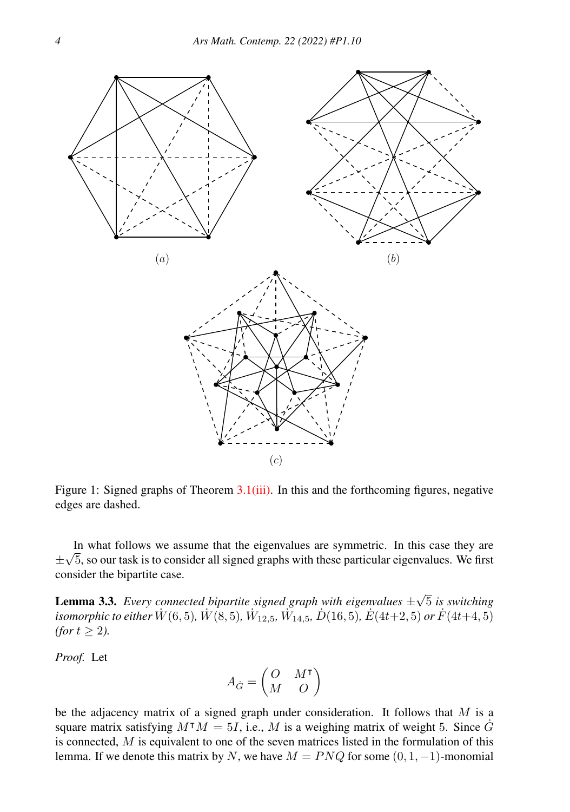

<span id="page-3-0"></span>Figure 1: Signed graphs of Theorem [3.1](#page-2-3)[\(iii\).](#page-2-2) In this and the forthcoming figures, negative edges are dashed.

In what follows we assume that the eigenvalues are symmetric. In this case they are ± √ 5, so our task is to consider all signed graphs with these particular eigenvalues. We first consider the bipartite case.

<span id="page-3-1"></span>**Lemma 3.3.** *Every connected bipartite signed graph with eigenvalues*  $\pm$ √ 5 *is switching*  $i$ somorphic to either  $\dot{W}(6,5)$ ,  $\dot{W}(8,5)$ ,  $\dot{W}_{12,5}$ ,  $\dot{W_{14,5}}$ ,  $\dot{D}(16,5)$ ,  $\dot{E}(4t{+}2,5)$  or  $\dot{F}(4t{+}4,5)$ *(for*  $t \geq 2$ *).* 

*Proof.* Let

$$
A_{\dot{G}} = \begin{pmatrix} O & M^\intercal \\ M & O \end{pmatrix}
$$

be the adjacency matrix of a signed graph under consideration. It follows that  $M$  is a square matrix satisfying  $M^{\dagger}M = 5I$ , i.e., M is a weighing matrix of weight 5. Since  $\dot{G}$ is connected,  $M$  is equivalent to one of the seven matrices listed in the formulation of this lemma. If we denote this matrix by N, we have  $M = PNQ$  for some  $(0, 1, -1)$ -monomial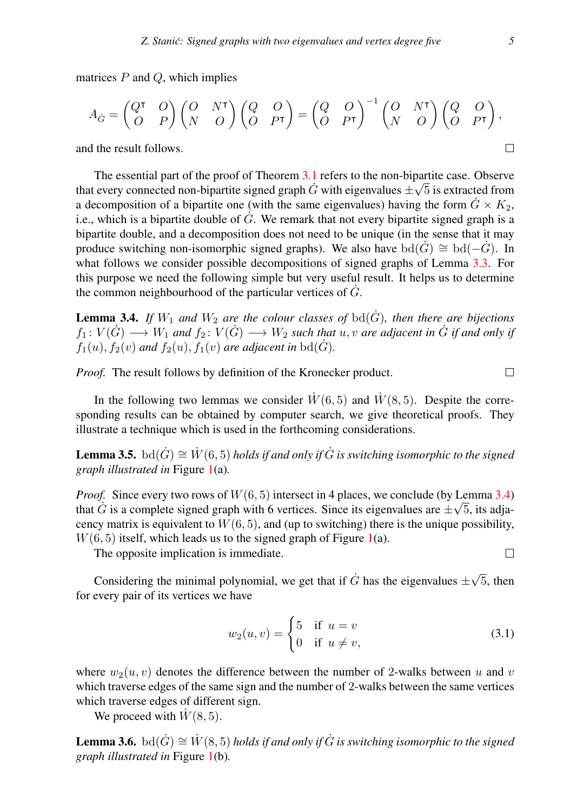matrices  $P$  and  $Q$ , which implies

$$
A_{\dot{G}} = \begin{pmatrix} Q^{\mathsf{T}} & O \\ O & P \end{pmatrix} \begin{pmatrix} O & N^{\mathsf{T}} \\ N & O \end{pmatrix} \begin{pmatrix} Q & O \\ O & P^{\mathsf{T}} \end{pmatrix} = \begin{pmatrix} Q & O \\ O & P^{\mathsf{T}} \end{pmatrix}^{-1} \begin{pmatrix} O & N^{\mathsf{T}} \\ N & O \end{pmatrix} \begin{pmatrix} Q & O \\ O & P^{\mathsf{T}} \end{pmatrix},
$$
and the result follows.

and the result follows.

The essential part of the proof of Theorem  $\frac{3.1}{6}$  $\frac{3.1}{6}$  $\frac{3.1}{6}$  refers to the non-bipartite case. Observe that every connected non-bipartite signed graph  $\dot{G}$  with eigenvalues  $\pm\sqrt{5}$  is extracted from a decomposition of a bipartite one (with the same eigenvalues) having the form  $G \times K_2$ , i.e., which is a bipartite double of  $\dot{G}$ . We remark that not every bipartite signed graph is a bipartite double, and a decomposition does not need to be unique (in the sense that it may produce switching non-isomorphic signed graphs). We also have  $\text{bd}(\dot{G}) \cong \text{bd}(-\dot{G})$ . In what follows we consider possible decompositions of signed graphs of Lemma [3.3.](#page-3-1) For this purpose we need the following simple but very useful result. It helps us to determine the common neighbourhood of the particular vertices of  $\dot{G}$ .

<span id="page-4-0"></span>**Lemma 3.4.** *If*  $W_1$  *and*  $W_2$  *are the colour classes of*  $\text{bd}(\dot{G})$ *, then there are bijections*  $f_1\colon V(\dot G)\longrightarrow W_1$  and  $f_2\colon V(\dot G)\longrightarrow W_2$  such that  $u,v$  are adjacent in  $\dot G$  if and only if  $f_1(u)$ ,  $f_2(v)$  *and*  $f_2(u)$ ,  $f_1(v)$  *are adjacent in* bd( $\dot{G}$ ).

*Proof.* The result follows by definition of the Kronecker product.

In the following two lemmas we consider  $\dot{W}(6, 5)$  and  $\dot{W}(8, 5)$ . Despite the corresponding results can be obtained by computer search, we give theoretical proofs. They illustrate a technique which is used in the forthcoming considerations.

<span id="page-4-2"></span>**Lemma 3.5.** bd $(\dot{G}) \cong \dot{W}(6, 5)$  *holds if and only if*  $\dot{G}$  is switching isomorphic to the signed *graph illustrated in* Figure [1\(](#page-3-0)a)*.*

*Proof.* Since every two rows of  $W(6, 5)$  intersect in 4 places, we conclude (by Lemma [3.4\)](#page-4-0) that  $\dot{G}$  is a complete signed graph with 6 vertices. Since its eigenvalues are  $\pm\sqrt{5}$ , its adjacency matrix is equivalent to  $W(6, 5)$ , and (up to switching) there is the unique possibility,  $W(6, 5)$  itself, which leads us to the signed graph of Figure [1\(](#page-3-0)a).

The opposite implication is immediate.

Considering the minimal polynomial, we get that if  $\dot{G}$  has the eigenvalues  $\pm\sqrt{ }$ 5, then for every pair of its vertices we have

<span id="page-4-1"></span>
$$
w_2(u,v) = \begin{cases} 5 & \text{if } u = v \\ 0 & \text{if } u \neq v, \end{cases}
$$
 (3.1)

where  $w_2(u, v)$  denotes the difference between the number of 2-walks between u and v which traverse edges of the same sign and the number of 2-walks between the same vertices which traverse edges of different sign.

We proceed with  $\dot{W}(8, 5)$ .

<span id="page-4-3"></span>**Lemma 3.6.** bd $(\dot{G}) \cong W(8, 5)$  *holds if and only if*  $\dot{G}$  is switching isomorphic to the signed *graph illustrated in* Figure [1\(](#page-3-0)b)*.*

 $\Box$ 

 $\Box$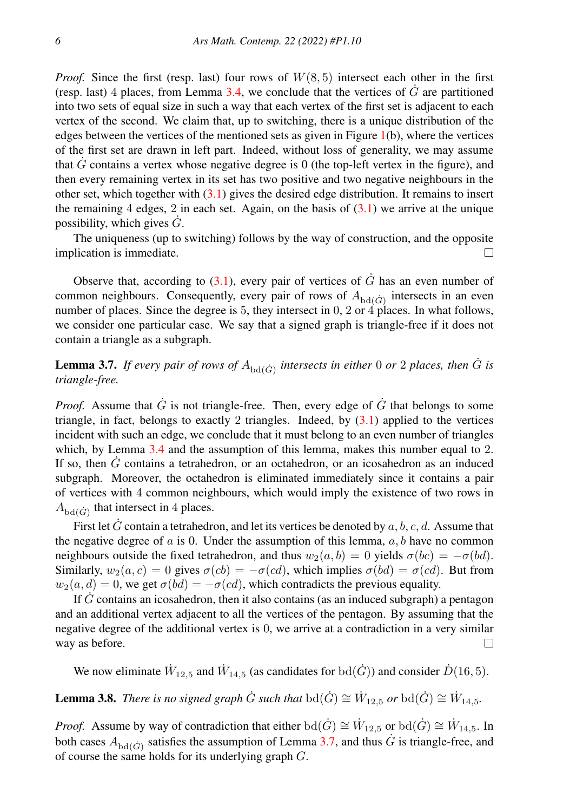*Proof.* Since the first (resp. last) four rows of  $W(8, 5)$  intersect each other in the first (resp. last) 4 places, from Lemma [3.4,](#page-4-0) we conclude that the vertices of  $\dot{G}$  are partitioned into two sets of equal size in such a way that each vertex of the first set is adjacent to each vertex of the second. We claim that, up to switching, there is a unique distribution of the edges between the vertices of the mentioned sets as given in Figure  $1(b)$  $1(b)$ , where the vertices of the first set are drawn in left part. Indeed, without loss of generality, we may assume that  $G$  contains a vertex whose negative degree is 0 (the top-left vertex in the figure), and then every remaining vertex in its set has two positive and two negative neighbours in the other set, which together with  $(3.1)$  gives the desired edge distribution. It remains to insert the remaining 4 edges, 2 in each set. Again, on the basis of  $(3.1)$  we arrive at the unique possibility, which gives  $\dot{G}$ .

The uniqueness (up to switching) follows by the way of construction, and the opposite implication is immediate.  $\Box$ 

Observe that, according to  $(3.1)$ , every pair of vertices of  $\dot{G}$  has an even number of common neighbours. Consequently, every pair of rows of  $A_{\text{bd}(\dot{G})}$  intersects in an even number of places. Since the degree is 5, they intersect in 0, 2 or  $\hat{4}$  places. In what follows, we consider one particular case. We say that a signed graph is triangle-free if it does not contain a triangle as a subgraph.

<span id="page-5-0"></span>**Lemma 3.7.** If every pair of rows of  $A_{\text{bd}(\dot{G})}$  intersects in either 0 or 2 places, then  $\dot{G}$  is *triangle-free.*

*Proof.* Assume that  $\dot{G}$  is not triangle-free. Then, every edge of  $\dot{G}$  that belongs to some triangle, in fact, belongs to exactly 2 triangles. Indeed, by  $(3.1)$  applied to the vertices incident with such an edge, we conclude that it must belong to an even number of triangles which, by Lemma [3.4](#page-4-0) and the assumption of this lemma, makes this number equal to 2. If so, then  $\hat{G}$  contains a tetrahedron, or an octahedron, or an icosahedron as an induced subgraph. Moreover, the octahedron is eliminated immediately since it contains a pair of vertices with 4 common neighbours, which would imply the existence of two rows in  $A_{\text{bd}(G)}$  that intersect in 4 places.

First let  $G$  contain a tetrahedron, and let its vertices be denoted by  $a, b, c, d$ . Assume that the negative degree of  $a$  is 0. Under the assumption of this lemma,  $a, b$  have no common neighbours outside the fixed tetrahedron, and thus  $w_2(a, b) = 0$  yields  $\sigma(bc) = -\sigma(bd)$ . Similarly,  $w_2(a, c) = 0$  gives  $\sigma(cb) = -\sigma(cd)$ , which implies  $\sigma(bd) = \sigma(cd)$ . But from  $w_2(a, d) = 0$ , we get  $\sigma(bd) = -\sigma(cd)$ , which contradicts the previous equality.

If  $G$  contains an icosahedron, then it also contains (as an induced subgraph) a pentagon and an additional vertex adjacent to all the vertices of the pentagon. By assuming that the negative degree of the additional vertex is 0, we arrive at a contradiction in a very similar way as before. П

We now eliminate  $\dot{W}_{12,5}$  and  $\dot{W}_{14,5}$  (as candidates for  $\text{bd}(\dot{G})$ ) and consider  $\dot{D}(16,5)$ .

<span id="page-5-1"></span>**Lemma 3.8.** *There is no signed graph*  $\dot{G}$  *such that*  $\text{bd}(\dot{G}) \cong \dot{W}_{12,5}$  *or*  $\text{bd}(\dot{G}) \cong \dot{W}_{14,5}$ *.* 

*Proof.* Assume by way of contradiction that either  $\text{bd}(\dot{G}) \cong \dot{W}_{12,5}$  or  $\text{bd}(\dot{G}) \cong \dot{W}_{14,5}$ . In both cases  $A_{\text{bd}(\dot{G})}$  satisfies the assumption of Lemma [3.7,](#page-5-0) and thus  $\dot{G}$  is triangle-free, and of course the same holds for its underlying graph G.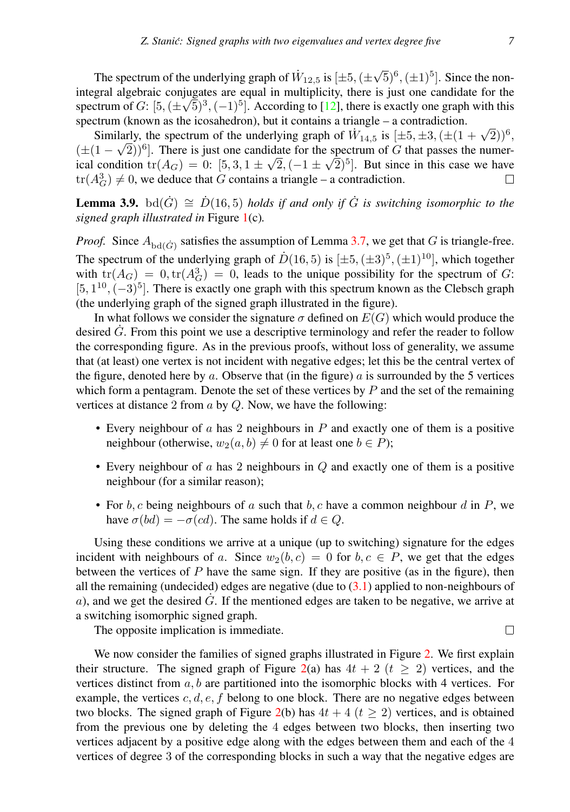The spectrum of the underlying graph of  $\dot{W}_{12,5}$  is  $[\pm 5,(\pm$  $(\sqrt{5})^6, (\pm 1)^5$ . Since the nonintegral algebraic conjugates are equal in multiplicity, there is just one candidate for the spectrum of  $G: [5, (\pm\sqrt{5})^3, (-1)^5]$ . According to [\[12\]](#page-11-9), there is exactly one graph with this spectrum (known as the icosahedron), but it contains a triangle – a contradiction.

Similarly, the spectrum of the underlying graph of  $\dot{W}_{14,5}$  is  $[\pm 5, \pm 3, (\pm (1 + \sqrt{2}))^6,$  $(\pm (1 - \sqrt{2}))^6$ . There is just one candidate for the spectrum of G that passes the numerical condition  $tr(A_G) = 0$ :  $[5, 3, 1 \pm \sqrt{2}, (-1 \pm \sqrt{2})^5]$ . But since in this case we have  $tr(A_G^3) \neq 0$ , we deduce that G contains a triangle – a contradiction.  $\Box$ 

<span id="page-6-0"></span>**Lemma 3.9.** bd $(\dot{G}) \cong \dot{D}(16, 5)$  *holds if and only if*  $\dot{G}$  *is switching isomorphic to the signed graph illustrated in* Figure [1\(](#page-3-0)c)*.*

*Proof.* Since  $A_{\text{bd}(\dot{G})}$  satisfies the assumption of Lemma [3.7,](#page-5-0) we get that G is triangle-free. The spectrum of the underlying graph of  $\dot{D}(16,5)$  is  $[\pm 5,(\pm 3)^5,(\pm 1)^{10}]$ , which together with  $tr(A_G) = 0, tr(A_G^3) = 0$ , leads to the unique possibility for the spectrum of G:  $[5, 1<sup>10</sup>, (-3)<sup>5</sup>]$ . There is exactly one graph with this spectrum known as the Clebsch graph (the underlying graph of the signed graph illustrated in the figure).

In what follows we consider the signature  $\sigma$  defined on  $E(G)$  which would produce the desired  $\dot{G}$ . From this point we use a descriptive terminology and refer the reader to follow the corresponding figure. As in the previous proofs, without loss of generality, we assume that (at least) one vertex is not incident with negative edges; let this be the central vertex of the figure, denoted here by a. Observe that (in the figure) a is surrounded by the 5 vertices which form a pentagram. Denote the set of these vertices by  $P$  and the set of the remaining vertices at distance 2 from  $a$  by  $Q$ . Now, we have the following:

- Every neighbour of a has 2 neighbours in  $P$  and exactly one of them is a positive neighbour (otherwise,  $w_2(a, b) \neq 0$  for at least one  $b \in P$ );
- Every neighbour of  $\alpha$  has 2 neighbours in  $Q$  and exactly one of them is a positive neighbour (for a similar reason);
- For  $b, c$  being neighbours of a such that  $b, c$  have a common neighbour  $d$  in  $P$ , we have  $\sigma(bd) = -\sigma(cd)$ . The same holds if  $d \in Q$ .

Using these conditions we arrive at a unique (up to switching) signature for the edges incident with neighbours of a. Since  $w_2(b, c) = 0$  for  $b, c \in P$ , we get that the edges between the vertices of  $P$  have the same sign. If they are positive (as in the figure), then all the remaining (undecided) edges are negative (due to  $(3.1)$  applied to non-neighbours of a), and we get the desired  $\dot{G}$ . If the mentioned edges are taken to be negative, we arrive at a switching isomorphic signed graph.

The opposite implication is immediate.

We now consider the families of signed graphs illustrated in Figure [2.](#page-7-0) We first explain their structure. The signed graph of Figure [2\(](#page-7-0)a) has  $4t + 2$  ( $t \ge 2$ ) vertices, and the vertices distinct from  $a, b$  are partitioned into the isomorphic blocks with 4 vertices. For example, the vertices  $c, d, e, f$  belong to one block. There are no negative edges between two blocks. The signed graph of Figure [2\(](#page-7-0)b) has  $4t + 4$  ( $t \ge 2$ ) vertices, and is obtained from the previous one by deleting the 4 edges between two blocks, then inserting two vertices adjacent by a positive edge along with the edges between them and each of the 4 vertices of degree 3 of the corresponding blocks in such a way that the negative edges are

 $\Box$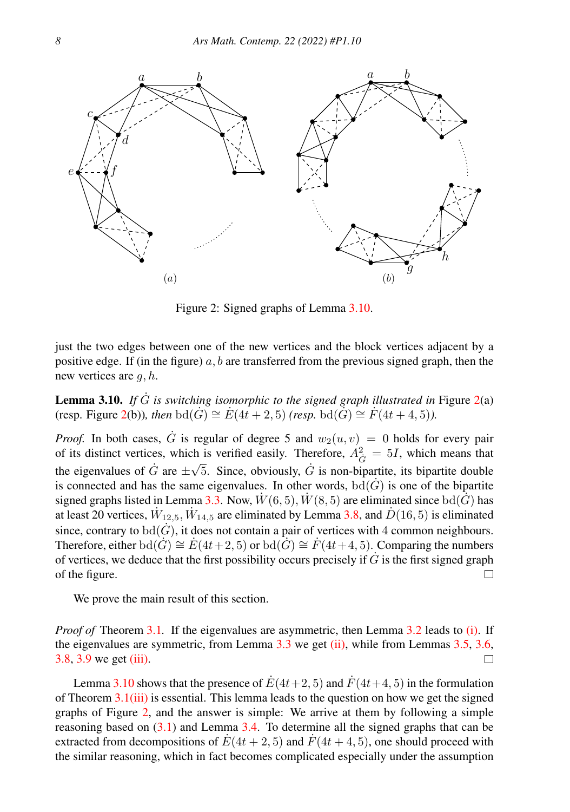

<span id="page-7-0"></span>Figure 2: Signed graphs of Lemma [3.10.](#page-7-1)

just the two edges between one of the new vertices and the block vertices adjacent by a positive edge. If (in the figure)  $a, b$  are transferred from the previous signed graph, then the new vertices are  $q, h$ .

<span id="page-7-1"></span>**Lemma 3.10.** If  $\dot{G}$  is switching isomorphic to the signed graph illustrated in Figure [2\(](#page-7-0)a) (resp. Figure [2\(](#page-7-0)b)), then  $\text{bd}(G) \cong E(4t + 2, 5)$  *(resp.*  $\text{bd}(G) \cong F(4t + 4, 5)$ *).* 

*Proof.* In both cases,  $\dot{G}$  is regular of degree 5 and  $w_2(u, v) = 0$  holds for every pair of its distinct vertices, which is verified easily. Therefore,  $A_{\vec{G}}^2 = 5I$ , which means that the eigenvalues of  $\hat{G}$  are  $\pm \sqrt{5}$ . Since, obviously,  $\hat{G}$  is non-bipartite, its bipartite double is connected and has the same eigenvalues. In other words,  $\text{bd}(G)$  is one of the bipartite signed graphs listed in Lemma [3.3.](#page-3-1) Now,  $W(6, 5)$ ,  $W(8, 5)$  are eliminated since bd(G) has at least 20 vertices,  $\dot{W}_{12,5}$ ,  $\dot{W}_{14,5}$  are eliminated by Lemma [3.8,](#page-5-1) and  $\dot{D}(16,5)$  is eliminated since, contrary to  $\text{bd}(G)$ , it does not contain a pair of vertices with 4 common neighbours. Therefore, either bd( $\dot{G}$ )  $\cong \dot{E}(4t+2, 5)$  or bd( $\dot{G}$ )  $\cong \dot{F}(4t+4, 5)$ . Comparing the numbers of vertices, we deduce that the first possibility occurs precisely if  $\dot{G}$  is the first signed graph of the figure.  $\Box$ 

We prove the main result of this section.

*Proof of* Theorem [3.1](#page-2-3). If the eigenvalues are asymmetric, then Lemma [3.2](#page-2-4) leads to [\(i\).](#page-2-5) If the eigenvalues are symmetric, from Lemma [3.3](#page-3-1) we get [\(ii\),](#page-2-1) while from Lemmas [3.5,](#page-4-2) [3.6,](#page-4-3) [3.8,](#page-5-1) [3.9](#page-6-0) we get [\(iii\).](#page-2-2)  $\Box$ 

Lemma [3.10](#page-7-1) shows that the presence of  $E(4t+2, 5)$  and  $F(4t+4, 5)$  in the formulation of Theorem  $3.1(iii)$  $3.1(iii)$  is essential. This lemma leads to the question on how we get the signed graphs of Figure [2,](#page-7-0) and the answer is simple: We arrive at them by following a simple reasoning based on [\(3.1\)](#page-4-1) and Lemma [3.4.](#page-4-0) To determine all the signed graphs that can be extracted from decompositions of  $E(4t + 2, 5)$  and  $F(4t + 4, 5)$ , one should proceed with the similar reasoning, which in fact becomes complicated especially under the assumption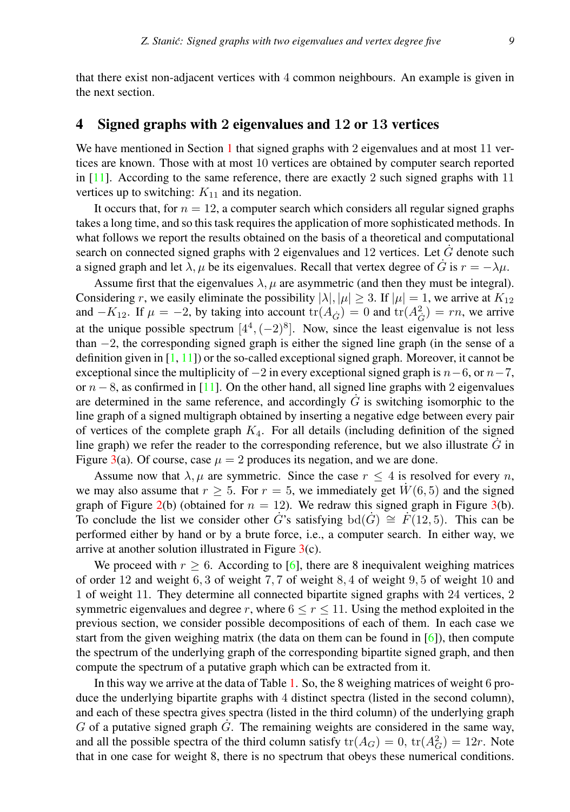that there exist non-adjacent vertices with 4 common neighbours. An example is given in the next section.

## <span id="page-8-0"></span>4 Signed graphs with 2 eigenvalues and 12 or 13 vertices

We have mentioned in Section [1](#page-0-0) that signed graphs with 2 eigenvalues and at most 11 vertices are known. Those with at most 10 vertices are obtained by computer search reported in  $[11]$ . According to the same reference, there are exactly 2 such signed graphs with 11 vertices up to switching:  $K_{11}$  and its negation.

It occurs that, for  $n = 12$ , a computer search which considers all regular signed graphs takes a long time, and so this task requires the application of more sophisticated methods. In what follows we report the results obtained on the basis of a theoretical and computational search on connected signed graphs with 2 eigenvalues and  $12$  vertices. Let G denote such a signed graph and let  $\lambda, \mu$  be its eigenvalues. Recall that vertex degree of  $\dot{G}$  is  $r = -\lambda\mu$ .

Assume first that the eigenvalues  $\lambda$ ,  $\mu$  are asymmetric (and then they must be integral). Considering r, we easily eliminate the possibility  $|\lambda|, |\mu| \geq 3$ . If  $|\mu| = 1$ , we arrive at  $K_{12}$ and  $-K_{12}$ . If  $\mu = -2$ , by taking into account  $tr(A_{\dot{G}}) = 0$  and  $tr(A_{\dot{G}}^2) = rn$ , we arrive at the unique possible spectrum  $[4^4, (-2)^8]$ . Now, since the least eigenvalue is not less than −2, the corresponding signed graph is either the signed line graph (in the sense of a definition given in  $[1, 11]$  $[1, 11]$  $[1, 11]$  or the so-called exceptional signed graph. Moreover, it cannot be exceptional since the multiplicity of  $-2$  in every exceptional signed graph is  $n-6$ , or  $n-7$ , or  $n - 8$ , as confirmed in [\[11\]](#page-11-3). On the other hand, all signed line graphs with 2 eigenvalues are determined in the same reference, and accordingly  $\dot{G}$  is switching isomorphic to the line graph of a signed multigraph obtained by inserting a negative edge between every pair of vertices of the complete graph  $K_4$ . For all details (including definition of the signed line graph) we refer the reader to the corresponding reference, but we also illustrate  $\dot{G}$  in Figure [3\(](#page-9-0)a). Of course, case  $\mu = 2$  produces its negation, and we are done.

Assume now that  $\lambda, \mu$  are symmetric. Since the case  $r \leq 4$  is resolved for every n, we may also assume that  $r \geq 5$ . For  $r = 5$ , we immediately get  $W(6, 5)$  and the signed graph of Figure [2\(](#page-7-0)b) (obtained for  $n = 12$ ). We redraw this signed graph in Figure [3\(](#page-9-0)b). To conclude the list we consider other G<sup>\*</sup>s satisfying bd $(G) \cong F(12, 5)$ . This can be performed either by hand or by a brute force, i.e., a computer search. In either way, we arrive at another solution illustrated in Figure  $3(c)$  $3(c)$ .

We proceed with  $r \geq 6$ . According to [\[6\]](#page-11-7), there are 8 inequivalent weighing matrices of order 12 and weight 6, 3 of weight 7, 7 of weight 8, 4 of weight 9, 5 of weight 10 and 1 of weight 11. They determine all connected bipartite signed graphs with 24 vertices, 2 symmetric eigenvalues and degree r, where  $6 \le r \le 11$ . Using the method exploited in the previous section, we consider possible decompositions of each of them. In each case we start from the given weighing matrix (the data on them can be found in  $[6]$ ), then compute the spectrum of the underlying graph of the corresponding bipartite signed graph, and then compute the spectrum of a putative graph which can be extracted from it.

In this way we arrive at the data of Table [1.](#page-10-0) So, the 8 weighing matrices of weight 6 produce the underlying bipartite graphs with 4 distinct spectra (listed in the second column), and each of these spectra gives spectra (listed in the third column) of the underlying graph  $G$  of a putative signed graph  $G$ . The remaining weights are considered in the same way, and all the possible spectra of the third column satisfy  $tr(A_G) = 0$ ,  $tr(A_G^2) = 12r$ . Note that in one case for weight 8, there is no spectrum that obeys these numerical conditions.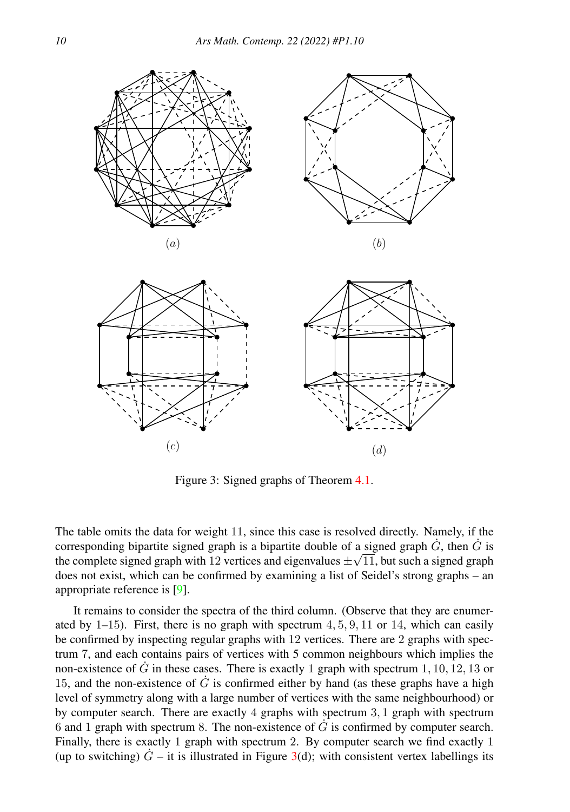

<span id="page-9-0"></span>Figure 3: Signed graphs of Theorem [4.1.](#page-10-1)

The table omits the data for weight 11, since this case is resolved directly. Namely, if the corresponding bipartite signed graph is a bipartite double of a signed graph  $\dot{G}$ , then  $\dot{G}$  is the complete signed graph with 12 vertices and eigenvalues  $\pm\sqrt{11}$ , but such a signed graph does not exist, which can be confirmed by examining a list of Seidel's strong graphs – an appropriate reference is [\[9\]](#page-11-11).

It remains to consider the spectra of the third column. (Observe that they are enumerated by  $1-15$ ). First, there is no graph with spectrum  $4, 5, 9, 11$  or  $14$ , which can easily be confirmed by inspecting regular graphs with 12 vertices. There are 2 graphs with spectrum 7, and each contains pairs of vertices with 5 common neighbours which implies the non-existence of  $\dot{G}$  in these cases. There is exactly 1 graph with spectrum 1, 10, 12, 13 or 15, and the non-existence of  $\dot{G}$  is confirmed either by hand (as these graphs have a high level of symmetry along with a large number of vertices with the same neighbourhood) or by computer search. There are exactly 4 graphs with spectrum 3, 1 graph with spectrum  $6$  and  $1$  graph with spectrum 8. The non-existence of  $G$  is confirmed by computer search. Finally, there is exactly 1 graph with spectrum 2. By computer search we find exactly 1 (up to switching)  $\dot{G}$  – it is illustrated in Figure [3\(](#page-9-0)d); with consistent vertex labellings its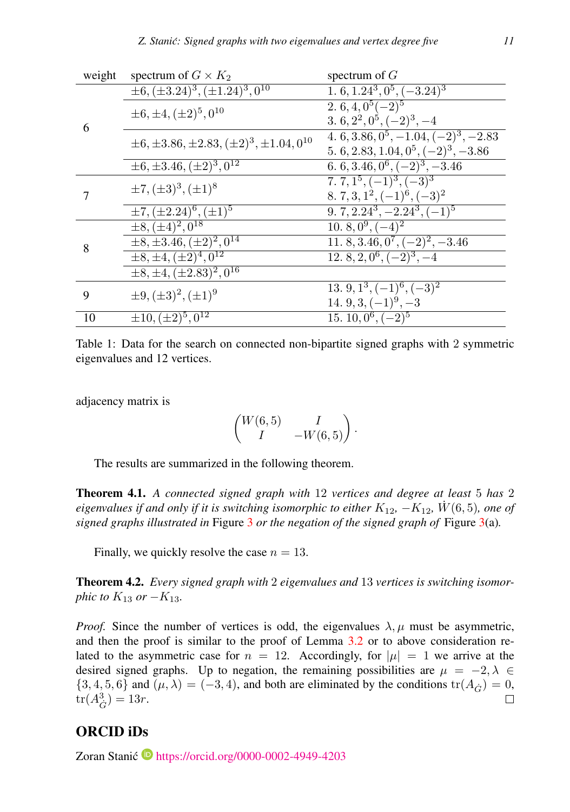| weight | spectrum of $G \times K_2$                               | spectrum of $G$                                  |
|--------|----------------------------------------------------------|--------------------------------------------------|
| 6      | $\pm 6, (\pm 3.24)^3, (\pm 1.24)^3, 0^{10}$              | 1. 6, $1.24^3$ , $0^5$ , $(-3.24)^3$             |
|        | $\pm 6, \pm 4, (\pm 2)^5, 0^{10}$                        | $\sqrt{2.6, 4, 0^5(-2)^5}$                       |
|        |                                                          | 3. 6, $2^2$ , $0^5$ , $(-2)^3$ , $-4$            |
|        | $\pm 6, \pm 3.86, \pm 2.83, (\pm 2)^3, \pm 1.04, 0^{10}$ | 4. 6, 3.86, $0^5$ , $-1.04$ , $(-2)^3$ , $-2.83$ |
|        |                                                          | 5. 6, 2.83, 1.04, $0^5$ , $(-2)^3$ , $-3.86$     |
|        | $\pm 6, \pm 3.46, (\pm 2)^3, 0^{12}$                     | 6. 6, 3.46, $0^6$ , $(-2)^3$ , $-3.46$           |
|        | $\pm 7, (\pm 3)^3, (\pm 1)^8$                            | 7. 7, $1^5$ , $(-1)^3$ , $(-3)^3$                |
|        |                                                          | 8. 7, 3, $1^2$ , $(-1)^6$ , $(-3)^2$             |
|        | $\pm 7, (\pm 2.24)^6, (\pm 1)^5$                         | $\overline{9, 7, 2.24^3, -2.24^3, (-1)^5}$       |
| 8      | $\pm 8, (\pm 4)^2, 0^{18}$                               | 10. $8, 0^9, (-4)^2$                             |
|        | $\pm 8, \pm 3.46, (\pm 2)^2, 0^{14}$                     | $11.8, 3.46, 0^7, (-2)^2, -3.46$                 |
|        | $\pm 8, \pm 4, (\pm 2)^4, 0^{12}$                        | 12. 8, 2, $0^6$ , $(-2)^3$ , $-4$                |
|        | $\pm 8, \pm 4, \overline{(\pm 2.83)^2, 0^{16}}$          |                                                  |
| 9      | $\pm 9, (\pm 3)^2, (\pm 1)^9$                            | 13. 9, $1^3$ , $(-1)^6$ , $(-3)^2$               |
|        |                                                          | 14. $9, 3, (-1)^9, -3$                           |
| 10     | $\pm 10, (\pm 2)^5, 0^{12}$                              | $\overline{15.10,0^6,(-2)^5}$                    |

<span id="page-10-0"></span>Table 1: Data for the search on connected non-bipartite signed graphs with 2 symmetric eigenvalues and 12 vertices.

adjacency matrix is

$$
\begin{pmatrix} W(6,5) & I \\ I & -W(6,5) \end{pmatrix}.
$$

The results are summarized in the following theorem.

<span id="page-10-1"></span>Theorem 4.1. *A connected signed graph with* 12 *vertices and degree at least* 5 *has* 2 *eigenvalues if and only if it is switching isomorphic to either*  $K_{12}$ *,*  $-K_{12}$ *, W*<sup> $(6,5)$ *, one of*</sup> *signed graphs illustrated in* Figure [3](#page-9-0) *or the negation of the signed graph of* Figure [3\(](#page-9-0)a)*.*

Finally, we quickly resolve the case  $n = 13$ .

Theorem 4.2. *Every signed graph with* 2 *eigenvalues and* 13 *vertices is switching isomorphic to*  $K_{13}$  *or*  $-K_{13}$ *.* 

*Proof.* Since the number of vertices is odd, the eigenvalues  $\lambda, \mu$  must be asymmetric, and then the proof is similar to the proof of Lemma [3.2](#page-2-4) or to above consideration related to the asymmetric case for  $n = 12$ . Accordingly, for  $|\mu| = 1$  we arrive at the desired signed graphs. Up to negation, the remaining possibilities are  $\mu = -2, \lambda \in$  $\{3, 4, 5, 6\}$  and  $(\mu, \lambda) = (-3, 4)$ , and both are eliminated by the conditions  $\text{tr}(A_{\mathbf{G}}) = 0$ ,  $\text{tr}(A_{\mathbf{G}}^3) = 13r$  $tr(A_G^3) = 13r.$ 

# ORCID iDs

Zoran Stanić<sup>®</sup> <https://orcid.org/0000-0002-4949-4203>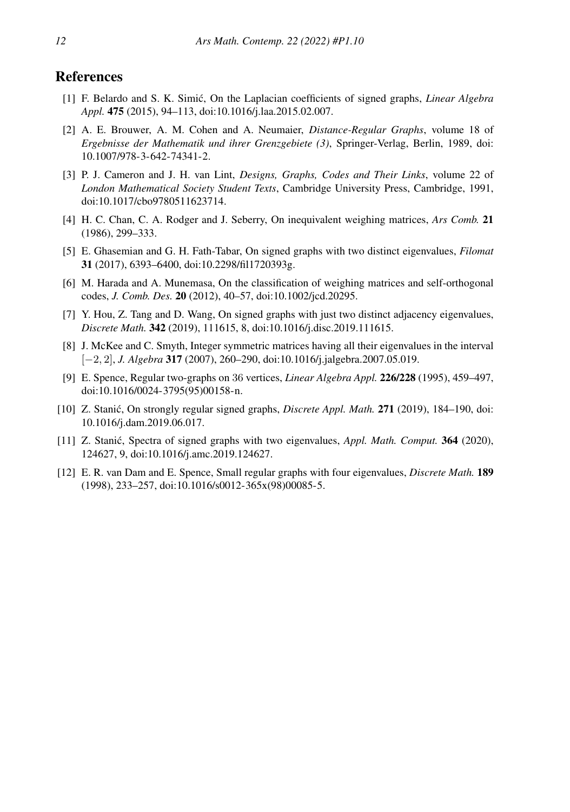### References

- <span id="page-11-10"></span>[1] F. Belardo and S. K. Simic, On the Laplacian coefficients of signed graphs, ´ *Linear Algebra Appl.* 475 (2015), 94–113, doi:10.1016/j.laa.2015.02.007.
- <span id="page-11-5"></span>[2] A. E. Brouwer, A. M. Cohen and A. Neumaier, *Distance-Regular Graphs*, volume 18 of *Ergebnisse der Mathematik und ihrer Grenzgebiete (3)*, Springer-Verlag, Berlin, 1989, doi: 10.1007/978-3-642-74341-2.
- <span id="page-11-6"></span>[3] P. J. Cameron and J. H. van Lint, *Designs, Graphs, Codes and Their Links*, volume 22 of *London Mathematical Society Student Texts*, Cambridge University Press, Cambridge, 1991, doi:10.1017/cbo9780511623714.
- <span id="page-11-8"></span>[4] H. C. Chan, C. A. Rodger and J. Seberry, On inequivalent weighing matrices, *Ars Comb.* 21 (1986), 299–333.
- <span id="page-11-0"></span>[5] E. Ghasemian and G. H. Fath-Tabar, On signed graphs with two distinct eigenvalues, *Filomat* 31 (2017), 6393–6400, doi:10.2298/fil1720393g.
- <span id="page-11-7"></span>[6] M. Harada and A. Munemasa, On the classification of weighing matrices and self-orthogonal codes, *J. Comb. Des.* 20 (2012), 40–57, doi:10.1002/jcd.20295.
- <span id="page-11-1"></span>[7] Y. Hou, Z. Tang and D. Wang, On signed graphs with just two distinct adjacency eigenvalues, *Discrete Math.* 342 (2019), 111615, 8, doi:10.1016/j.disc.2019.111615.
- <span id="page-11-2"></span>[8] J. McKee and C. Smyth, Integer symmetric matrices having all their eigenvalues in the interval [−2, 2], *J. Algebra* 317 (2007), 260–290, doi:10.1016/j.jalgebra.2007.05.019.
- <span id="page-11-11"></span>[9] E. Spence, Regular two-graphs on 36 vertices, *Linear Algebra Appl.* 226/228 (1995), 459–497, doi:10.1016/0024-3795(95)00158-n.
- <span id="page-11-4"></span>[10] Z. Stanić, On strongly regular signed graphs, *Discrete Appl. Math.* 271 (2019), 184–190, doi: 10.1016/j.dam.2019.06.017.
- <span id="page-11-3"></span>[11] Z. Stanic, Spectra of signed graphs with two eigenvalues, ´ *Appl. Math. Comput.* 364 (2020), 124627, 9, doi:10.1016/j.amc.2019.124627.
- <span id="page-11-9"></span>[12] E. R. van Dam and E. Spence, Small regular graphs with four eigenvalues, *Discrete Math.* 189 (1998), 233–257, doi:10.1016/s0012-365x(98)00085-5.